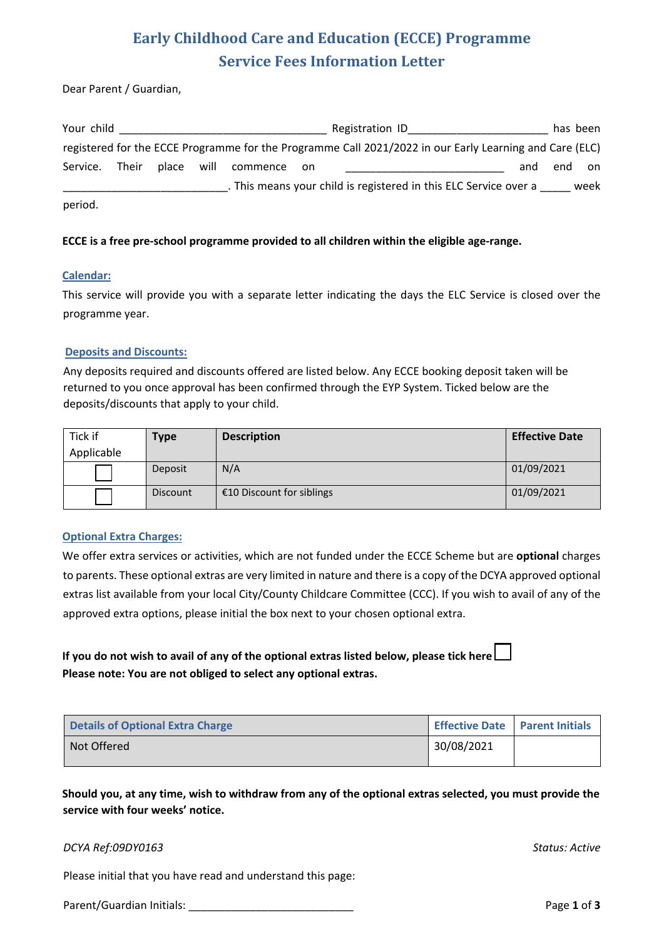## **Early Childhood Care and Education (ECCE) Programme Service Fees Information Letter**

Dear Parent / Guardian,

| Your child |       |            |          |       | Registration ID                                                                                         |     | has been |      |
|------------|-------|------------|----------|-------|---------------------------------------------------------------------------------------------------------|-----|----------|------|
|            |       |            |          |       | registered for the ECCE Programme for the Programme Call 2021/2022 in our Early Learning and Care (ELC) |     |          |      |
| Service.   | Their | place will | commence | on on |                                                                                                         | and | end      | on   |
|            |       |            |          |       | . This means your child is registered in this ELC Service over a                                        |     |          | week |
| period.    |       |            |          |       |                                                                                                         |     |          |      |

#### **ECCE is a free pre-school programme provided to all children within the eligible age-range.**

#### **Calendar:**

This service will provide you with a separate letter indicating the days the ELC Service is closed over the programme year.

#### **Deposits and Discounts:**

Any deposits required and discounts offered are listed below. Any ECCE booking deposit taken will be returned to you once approval has been confirmed through the EYP System. Ticked below are the deposits/discounts that apply to your child.

| Tick if    | Type            | <b>Description</b>        | <b>Effective Date</b> |  |
|------------|-----------------|---------------------------|-----------------------|--|
| Applicable |                 |                           |                       |  |
|            | Deposit         | N/A                       | 01/09/2021            |  |
|            | <b>Discount</b> | €10 Discount for siblings | 01/09/2021            |  |

#### **Optional Extra Charges:**

We offer extra services or activities, which are not funded under the ECCE Scheme but are **optional** charges to parents. These optional extras are very limited in nature and there is a copy of the DCYA approved optional extras list available from your local City/County Childcare Committee (CCC). If you wish to avail of any of the approved extra options, please initial the box next to your chosen optional extra.

**If you do not wish to avail of any of the optional extras listed below, please tick here Please note: You are not obliged to select any optional extras.** 

| <b>Details of Optional Extra Charge</b> | <b>Effective Date   Parent Initials</b> |  |
|-----------------------------------------|-----------------------------------------|--|
| Not Offered                             | 30/08/2021                              |  |

**Should you, at any time, wish to withdraw from any of the optional extras selected, you must provide the service with four weeks' notice.**

#### *DCYA Ref:09DY0163 Status: Active*

Please initial that you have read and understand this page:

Parent/Guardian Initials: \_\_\_\_\_\_\_\_\_\_\_\_\_\_\_\_\_\_\_\_\_\_\_\_\_\_\_ Page **1** of **3**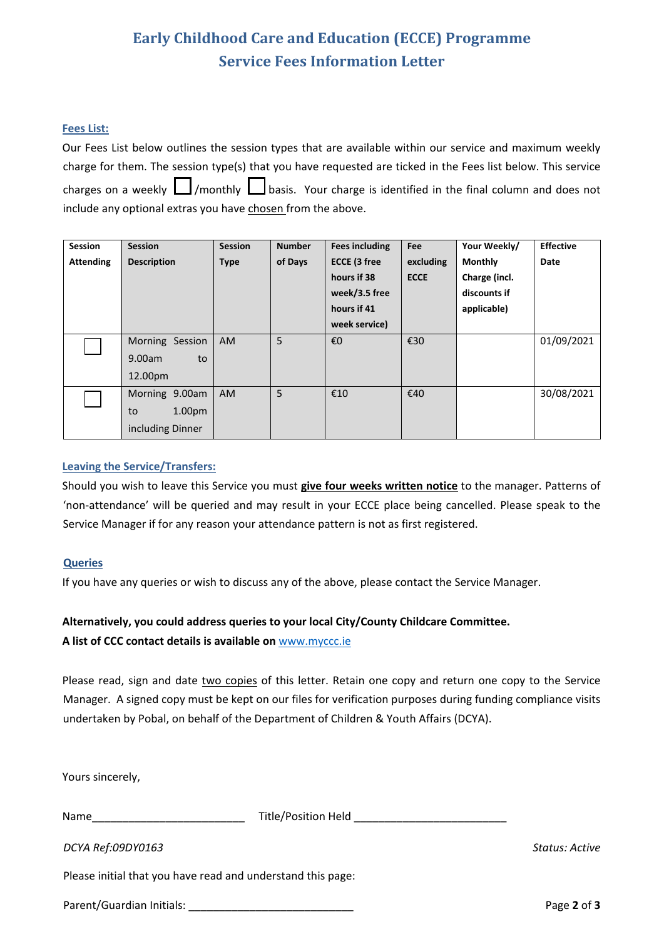## **Early Childhood Care and Education (ECCE) Programme Service Fees Information Letter**

#### **Fees List:**

| Our Fees List below outlines the session types that are available within our service and maximum weekly      |  |  |  |  |  |
|--------------------------------------------------------------------------------------------------------------|--|--|--|--|--|
| charge for them. The session type(s) that you have requested are ticked in the Fees list below. This service |  |  |  |  |  |
| charges on a weekly $\Box$ /monthly $\Box$ basis. Your charge is identified in the final column and does not |  |  |  |  |  |
| include any optional extras you have chosen from the above.                                                  |  |  |  |  |  |

| <b>Session</b>   | <b>Session</b>           | <b>Session</b> | <b>Number</b> | <b>Fees including</b> | Fee         | Your Weekly/   | <b>Effective</b> |
|------------------|--------------------------|----------------|---------------|-----------------------|-------------|----------------|------------------|
| <b>Attending</b> | <b>Description</b>       | <b>Type</b>    | of Days       | <b>ECCE (3 free</b>   | excluding   | <b>Monthly</b> | Date             |
|                  |                          |                |               | hours if 38           | <b>ECCE</b> | Charge (incl.  |                  |
|                  |                          |                |               | week/3.5 free         |             | discounts if   |                  |
|                  |                          |                |               | hours if 41           |             | applicable)    |                  |
|                  |                          |                |               | week service)         |             |                |                  |
|                  | Morning Session          | <b>AM</b>      | 5             | €O                    | €30         |                | 01/09/2021       |
|                  | 9.00am<br>to             |                |               |                       |             |                |                  |
|                  | 12.00pm                  |                |               |                       |             |                |                  |
|                  | Morning 9.00am           | <b>AM</b>      | 5             | €10                   | €40         |                | 30/08/2021       |
|                  | 1.00 <sub>pm</sub><br>to |                |               |                       |             |                |                  |
|                  | including Dinner         |                |               |                       |             |                |                  |

#### **Leaving the Service/Transfers:**

Should you wish to leave this Service you must **give four weeks written notice** to the manager. Patterns of 'non-attendance' will be queried and may result in your ECCE place being cancelled. Please speak to the Service Manager if for any reason your attendance pattern is not as first registered.

#### **Queries**

If you have any queries or wish to discuss any of the above, please contact the Service Manager.

#### **Alternatively, you could address queries to your local City/County Childcare Committee.**

#### **A list of CCC contact details is available on** [www.myccc.ie](http://www.myccc.ie/)

Please read, sign and date two copies of this letter. Retain one copy and return one copy to the Service Manager. A signed copy must be kept on our files for verification purposes during funding compliance visits undertaken by Pobal, on behalf of the Department of Children & Youth Affairs (DCYA).

Yours sincerely,

| <b>Title/Position Held</b> |
|----------------------------|
|                            |

*DCYA Ref:09DY0163 Status: Active*

Please initial that you have read and understand this page:

Parent/Guardian Initials: \_\_\_\_\_\_\_\_\_\_\_\_\_\_\_\_\_\_\_\_\_\_\_\_\_\_\_ Page **2** of **3**